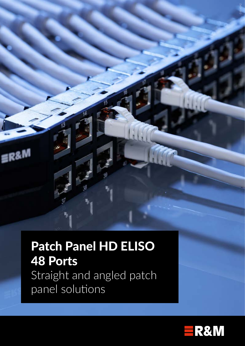

# Patch Panel HD ELISO 48 Ports Straight and angled patch panel solutions

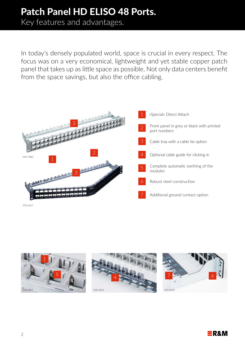# Patch Panel HD ELISO 48 Ports.

Key features and advantages.

In today's densely populated world, space is crucial in every respect. The focus was on a very economical, lightweight and yet stable copper patch panel that takes up as little space as possible. Not only data centers benefit from the space savings, but also the office cabling.



030.6667

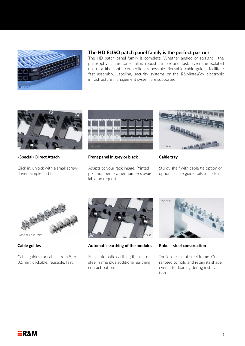

### The HD ELISO patch panel family is the perfect partner

The HD patch panel family is complete. Whether angled or straight - the philosophy is the same. Slim, robust, simple and fast. Even the isolated use of a fiber optic connection is possible. Reusable cable guides facilitate fast assembly. Labeling, security systems or the R&M*inteliPhy* electronic infrastructure management system are supported.



### «Special» Direct Attach

Click in, unlock with a small screwdriver. Simple and fast.



### Front panel in grey or black

Adapts to your rack image. Printed port numbers - other numbers available on request.



### Cable tray

Sturdy shelf with cable tie option or optional cable guide rails to click in.



030.5783, 030.6777

### Cable guides

Cable guides for cables from 5 to 8.5 mm, clickable, reusable, fast.



Automatic earthing of the modules

Fully automatic earthing thanks to steel frame plus additional earthing contact option.



Robust steel construction

Torsion-resistant steel frame. Guaranteed to hold and retain its shape even after loading during installation.